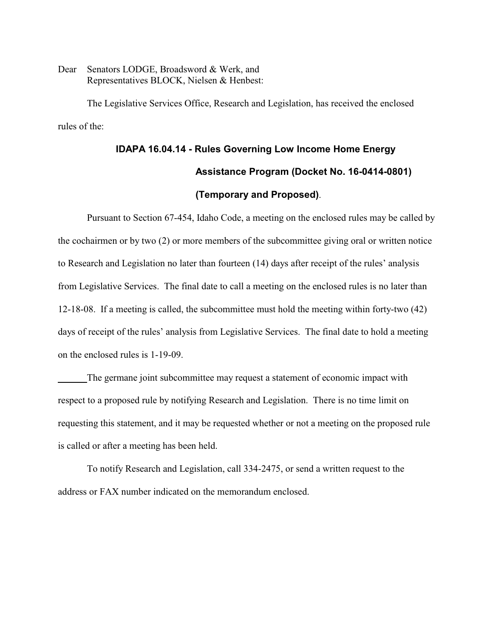Dear Senators LODGE, Broadsword & Werk, and Representatives BLOCK, Nielsen & Henbest:

The Legislative Services Office, Research and Legislation, has received the enclosed rules of the:

# **IDAPA 16.04.14 - Rules Governing Low Income Home Energy Assistance Program (Docket No. 16-0414-0801) (Temporary and Proposed)**.

Pursuant to Section 67-454, Idaho Code, a meeting on the enclosed rules may be called by the cochairmen or by two (2) or more members of the subcommittee giving oral or written notice to Research and Legislation no later than fourteen (14) days after receipt of the rules' analysis from Legislative Services. The final date to call a meeting on the enclosed rules is no later than 12-18-08. If a meeting is called, the subcommittee must hold the meeting within forty-two (42) days of receipt of the rules' analysis from Legislative Services. The final date to hold a meeting on the enclosed rules is 1-19-09.

The germane joint subcommittee may request a statement of economic impact with respect to a proposed rule by notifying Research and Legislation. There is no time limit on requesting this statement, and it may be requested whether or not a meeting on the proposed rule is called or after a meeting has been held.

To notify Research and Legislation, call 334-2475, or send a written request to the address or FAX number indicated on the memorandum enclosed.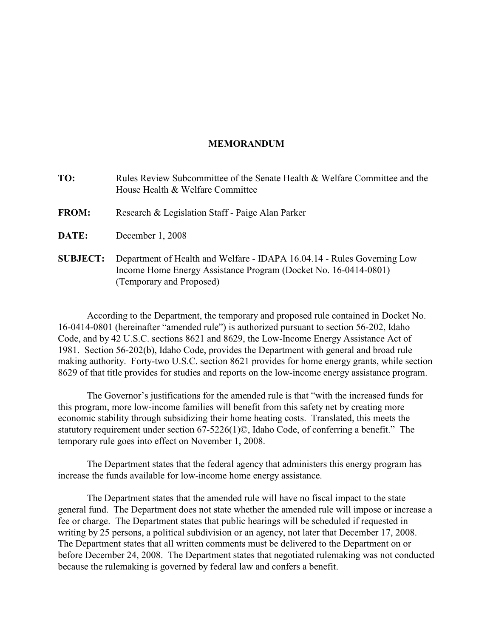### **MEMORANDUM**

| TO:             | Rules Review Subcommittee of the Senate Health & Welfare Committee and the<br>House Health & Welfare Committee                                                         |
|-----------------|------------------------------------------------------------------------------------------------------------------------------------------------------------------------|
| <b>FROM:</b>    | Research & Legislation Staff - Paige Alan Parker                                                                                                                       |
| DATE:           | December 1, 2008                                                                                                                                                       |
| <b>SUBJECT:</b> | Department of Health and Welfare - IDAPA 16.04.14 - Rules Governing Low<br>Income Home Energy Assistance Program (Docket No. 16-0414-0801)<br>(Temporary and Proposed) |

According to the Department, the temporary and proposed rule contained in Docket No. 16-0414-0801 (hereinafter "amended rule") is authorized pursuant to section 56-202, Idaho Code, and by 42 U.S.C. sections 8621 and 8629, the Low-Income Energy Assistance Act of 1981. Section 56-202(b), Idaho Code, provides the Department with general and broad rule making authority. Forty-two U.S.C. section 8621 provides for home energy grants, while section 8629 of that title provides for studies and reports on the low-income energy assistance program.

The Governor's justifications for the amended rule is that "with the increased funds for this program, more low-income families will benefit from this safety net by creating more economic stability through subsidizing their home heating costs. Translated, this meets the statutory requirement under section 67-5226(1)©, Idaho Code, of conferring a benefit." The temporary rule goes into effect on November 1, 2008.

The Department states that the federal agency that administers this energy program has increase the funds available for low-income home energy assistance.

The Department states that the amended rule will have no fiscal impact to the state general fund. The Department does not state whether the amended rule will impose or increase a fee or charge. The Department states that public hearings will be scheduled if requested in writing by 25 persons, a political subdivision or an agency, not later that December 17, 2008. The Department states that all written comments must be delivered to the Department on or before December 24, 2008. The Department states that negotiated rulemaking was not conducted because the rulemaking is governed by federal law and confers a benefit.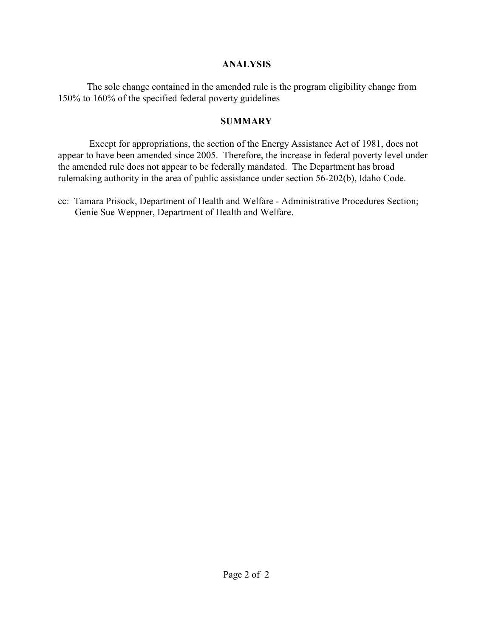### **ANALYSIS**

The sole change contained in the amended rule is the program eligibility change from 150% to 160% of the specified federal poverty guidelines

## **SUMMARY**

 Except for appropriations, the section of the Energy Assistance Act of 1981, does not appear to have been amended since 2005. Therefore, the increase in federal poverty level under the amended rule does not appear to be federally mandated. The Department has broad rulemaking authority in the area of public assistance under section 56-202(b), Idaho Code.

cc: Tamara Prisock, Department of Health and Welfare - Administrative Procedures Section; Genie Sue Weppner, Department of Health and Welfare.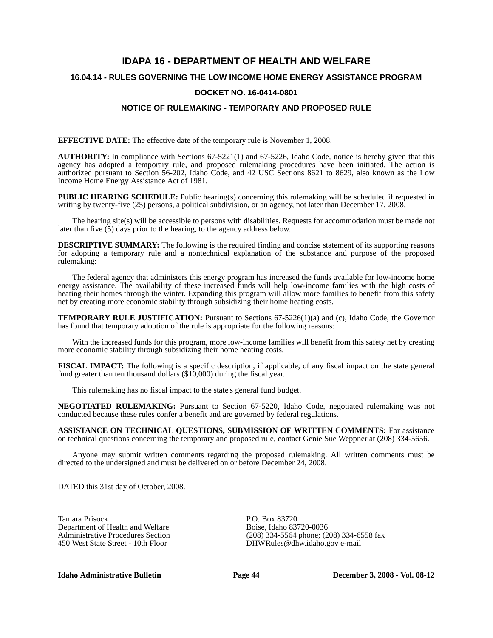# **IDAPA 16 - DEPARTMENT OF HEALTH AND WELFARE 16.04.14 - RULES GOVERNING THE LOW INCOME HOME ENERGY ASSISTANCE PROGRAM DOCKET NO. 16-0414-0801**

### **NOTICE OF RULEMAKING - TEMPORARY AND PROPOSED RULE**

**EFFECTIVE DATE:** The effective date of the temporary rule is November 1, 2008.

**AUTHORITY:** In compliance with Sections 67-5221(1) and 67-5226, Idaho Code, notice is hereby given that this agency has adopted a temporary rule, and proposed rulemaking procedures have been initiated. The action is authorized pursuant to Section 56-202, Idaho Code, and 42 USC Sections 8621 to 8629, also known as the Low Income Home Energy Assistance Act of 1981.

**PUBLIC HEARING SCHEDULE:** Public hearing(s) concerning this rulemaking will be scheduled if requested in writing by twenty-five (25) persons, a political subdivision, or an agency, not later than December 17, 2008.

The hearing site(s) will be accessible to persons with disabilities. Requests for accommodation must be made not later than five (5) days prior to the hearing, to the agency address below.

**DESCRIPTIVE SUMMARY:** The following is the required finding and concise statement of its supporting reasons for adopting a temporary rule and a nontechnical explanation of the substance and purpose of the proposed rulemaking:

The federal agency that administers this energy program has increased the funds available for low-income home energy assistance. The availability of these increased funds will help low-income families with the high costs of heating their homes through the winter. Expanding this program will allow more families to benefit from this safety net by creating more economic stability through subsidizing their home heating costs.

**TEMPORARY RULE JUSTIFICATION:** Pursuant to Sections 67-5226(1)(a) and (c), Idaho Code, the Governor has found that temporary adoption of the rule is appropriate for the following reasons:

With the increased funds for this program, more low-income families will benefit from this safety net by creating more economic stability through subsidizing their home heating costs.

**FISCAL IMPACT:** The following is a specific description, if applicable, of any fiscal impact on the state general fund greater than ten thousand dollars (\$10,000) during the fiscal year.

This rulemaking has no fiscal impact to the state's general fund budget.

**NEGOTIATED RULEMAKING:** Pursuant to Section 67-5220, Idaho Code, negotiated rulemaking was not conducted because these rules confer a benefit and are governed by federal regulations.

**ASSISTANCE ON TECHNICAL QUESTIONS, SUBMISSION OF WRITTEN COMMENTS:** For assistance on technical questions concerning the temporary and proposed rule, contact Genie Sue Weppner at (208) 334-5656.

Anyone may submit written comments regarding the proposed rulemaking. All written comments must be directed to the undersigned and must be delivered on or before December 24, 2008.

DATED this 31st day of October, 2008.

Tamara Prisock<br>Department of Health and Welfare<br>Boise, Idaho 83720-0036 Department of Health and Welfare<br>Administrative Procedures Section

Administrative Procedures Section (208) 334-5564 phone; (208) 334-6558 fax<br>450 West State Street - 10th Floor DHWRules@dhw.idaho.gov e-mail DHWRules@dhw.idaho.gov e-mail

**Idaho Administrative Bulletin Page 44 December 3, 2008 - Vol. 08-12**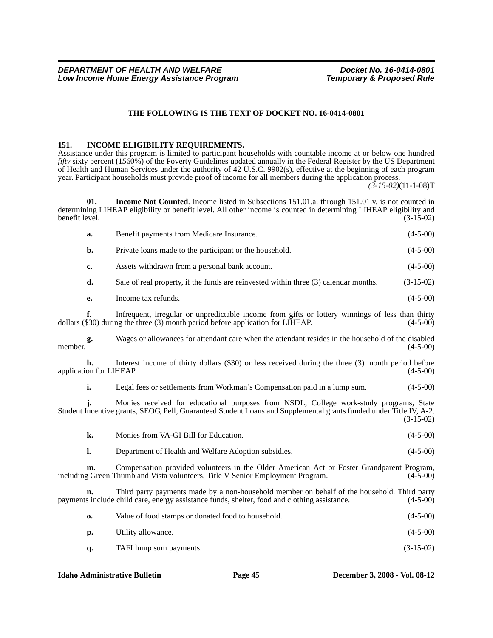### **THE FOLLOWING IS THE TEXT OF DOCKET NO. 16-0414-0801**

#### **151. INCOME ELIGIBILITY REQUIREMENTS.**

Assistance under this program is limited to participant households with countable income at or below one hundred *fifty* sixty percent (1*5*60%) of the Poverty Guidelines updated annually in the Federal Register by the US Department of Health and Human Services under the authority of 42 U.S.C. 9902(s), effective at the beginning of each program year. Participant households must provide proof of income for all members during the application process.

*(3-15-02)*(11-1-08)T

**01.** Income Not Counted. Income listed in Subsections 151.01.a. through 151.01.v. is not counted in determining LIHEAP eligibility or benefit level. All other income is counted in determining LIHEAP eligibility and benefit level. (3-15-02)

|         | a.                            | Benefit payments from Medicare Insurance.                                                                                                                                                                    | $(4-5-00)$  |
|---------|-------------------------------|--------------------------------------------------------------------------------------------------------------------------------------------------------------------------------------------------------------|-------------|
|         | b.                            | Private loans made to the participant or the household.                                                                                                                                                      | $(4-5-00)$  |
|         | c.                            | Assets withdrawn from a personal bank account.                                                                                                                                                               | $(4-5-00)$  |
|         | d.                            | Sale of real property, if the funds are reinvested within three (3) calendar months.                                                                                                                         | $(3-15-02)$ |
|         | e.                            | Income tax refunds.                                                                                                                                                                                          | $(4-5-00)$  |
|         | f.                            | Infrequent, irregular or unpredictable income from gifts or lottery winnings of less than thirty<br>dollars (\$30) during the three (3) month period before application for LIHEAP.                          | $(4-5-00)$  |
| member. | g.                            | Wages or allowances for attendant care when the attendant resides in the household of the disabled                                                                                                           | $(4-5-00)$  |
|         | h.<br>application for LIHEAP. | Interest income of thirty dollars (\$30) or less received during the three (3) month period before                                                                                                           | $(4-5-00)$  |
|         | i.                            | Legal fees or settlements from Workman's Compensation paid in a lump sum.                                                                                                                                    | $(4-5-00)$  |
|         | i.                            | Monies received for educational purposes from NSDL, College work-study programs, State<br>Student Incentive grants, SEOG, Pell, Guaranteed Student Loans and Supplemental grants funded under Title IV, A-2. | $(3-15-02)$ |
|         | k.                            | Monies from VA-GI Bill for Education.                                                                                                                                                                        | $(4-5-00)$  |
|         | $\mathbf{l}$ .                | Department of Health and Welfare Adoption subsidies.                                                                                                                                                         | $(4-5-00)$  |
|         | m.                            | Compensation provided volunteers in the Older American Act or Foster Grandparent Program,<br>including Green Thumb and Vista volunteers, Title V Senior Employment Program.                                  | $(4-5-00)$  |
|         | n.                            | Third party payments made by a non-household member on behalf of the household. Third party<br>payments include child care, energy assistance funds, shelter, food and clothing assistance.                  | $(4-5-00)$  |
|         | $\mathbf{0}$                  | Value of food stamps or donated food to household.                                                                                                                                                           | $(4-5-00)$  |
|         | p.                            | Utility allowance.                                                                                                                                                                                           | $(4-5-00)$  |
|         | q.                            | TAFI lump sum payments.                                                                                                                                                                                      | $(3-15-02)$ |